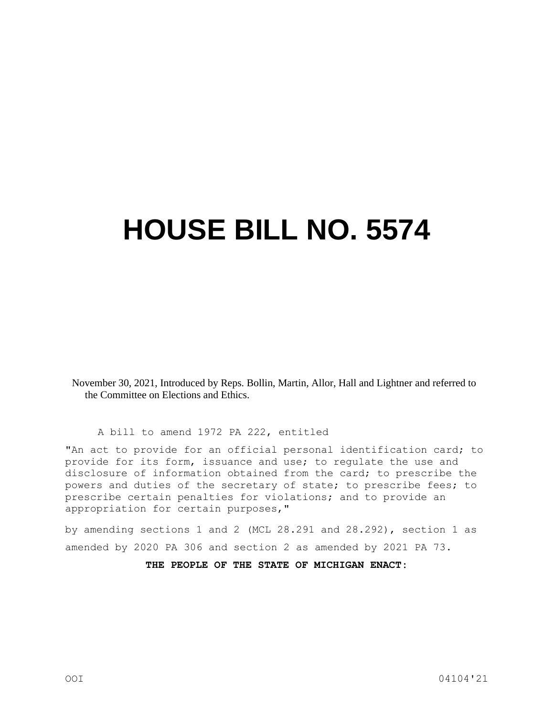## **HOUSE BILL NO. 5574**

November 30, 2021, Introduced by Reps. Bollin, Martin, Allor, Hall and Lightner and referred to the Committee on Elections and Ethics.

A bill to amend 1972 PA 222, entitled

"An act to provide for an official personal identification card; to provide for its form, issuance and use; to regulate the use and disclosure of information obtained from the card; to prescribe the powers and duties of the secretary of state; to prescribe fees; to prescribe certain penalties for violations; and to provide an appropriation for certain purposes,"

by amending sections 1 and 2 (MCL 28.291 and 28.292), section 1 as amended by 2020 PA 306 and section 2 as amended by 2021 PA 73.

**THE PEOPLE OF THE STATE OF MICHIGAN ENACT:**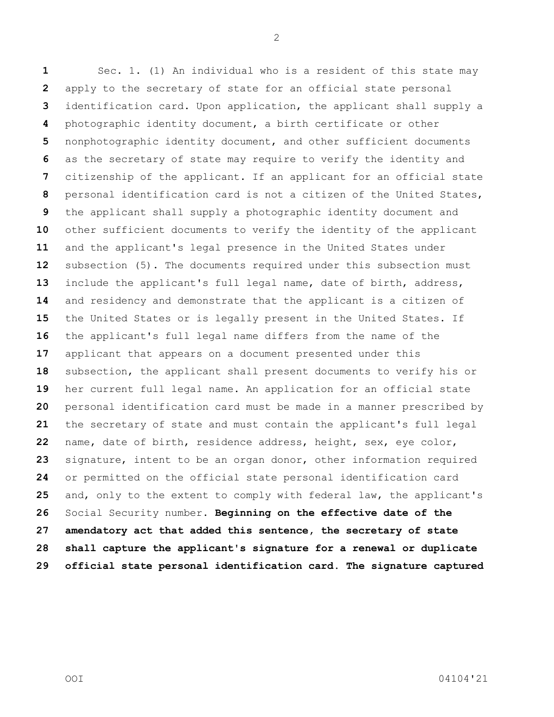Sec. 1. (1) An individual who is a resident of this state may apply to the secretary of state for an official state personal identification card. Upon application, the applicant shall supply a photographic identity document, a birth certificate or other nonphotographic identity document, and other sufficient documents as the secretary of state may require to verify the identity and citizenship of the applicant. If an applicant for an official state personal identification card is not a citizen of the United States, the applicant shall supply a photographic identity document and other sufficient documents to verify the identity of the applicant and the applicant's legal presence in the United States under subsection (5). The documents required under this subsection must include the applicant's full legal name, date of birth, address, and residency and demonstrate that the applicant is a citizen of the United States or is legally present in the United States. If the applicant's full legal name differs from the name of the applicant that appears on a document presented under this subsection, the applicant shall present documents to verify his or her current full legal name. An application for an official state personal identification card must be made in a manner prescribed by the secretary of state and must contain the applicant's full legal name, date of birth, residence address, height, sex, eye color, signature, intent to be an organ donor, other information required or permitted on the official state personal identification card and, only to the extent to comply with federal law, the applicant's Social Security number. **Beginning on the effective date of the amendatory act that added this sentence, the secretary of state shall capture the applicant's signature for a renewal or duplicate official state personal identification card. The signature captured**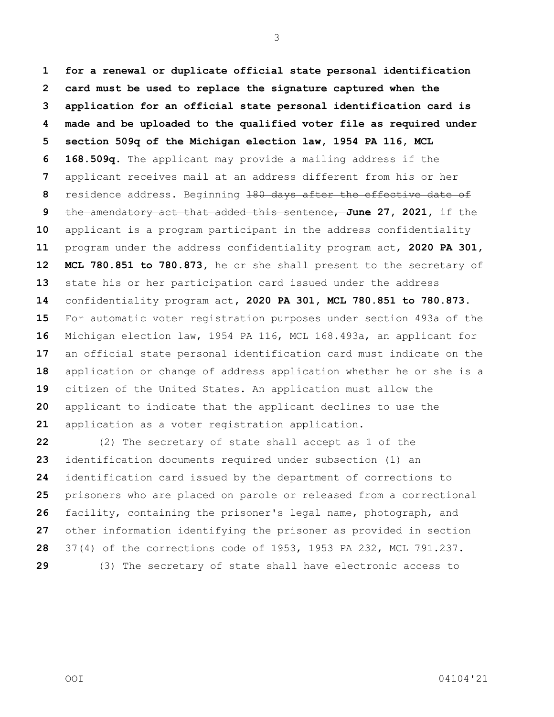**for a renewal or duplicate official state personal identification card must be used to replace the signature captured when the application for an official state personal identification card is made and be uploaded to the qualified voter file as required under section 509q of the Michigan election law, 1954 PA 116, MCL 168.509q.** The applicant may provide a mailing address if the applicant receives mail at an address different from his or her residence address. Beginning 180 days after the effective date of the amendatory act that added this sentence, **June 27, 2021,** if the applicant is a program participant in the address confidentiality program under the address confidentiality program act, **2020 PA 301, MCL 780.851 to 780.873,** he or she shall present to the secretary of state his or her participation card issued under the address confidentiality program act**, 2020 PA 301, MCL 780.851 to 780.873**. For automatic voter registration purposes under section 493a of the Michigan election law, 1954 PA 116, MCL 168.493a, an applicant for an official state personal identification card must indicate on the application or change of address application whether he or she is a citizen of the United States. An application must allow the applicant to indicate that the applicant declines to use the application as a voter registration application.

 (2) The secretary of state shall accept as 1 of the identification documents required under subsection (1) an identification card issued by the department of corrections to prisoners who are placed on parole or released from a correctional facility, containing the prisoner's legal name, photograph, and other information identifying the prisoner as provided in section 37(4) of the corrections code of 1953, 1953 PA 232, MCL 791.237. (3) The secretary of state shall have electronic access to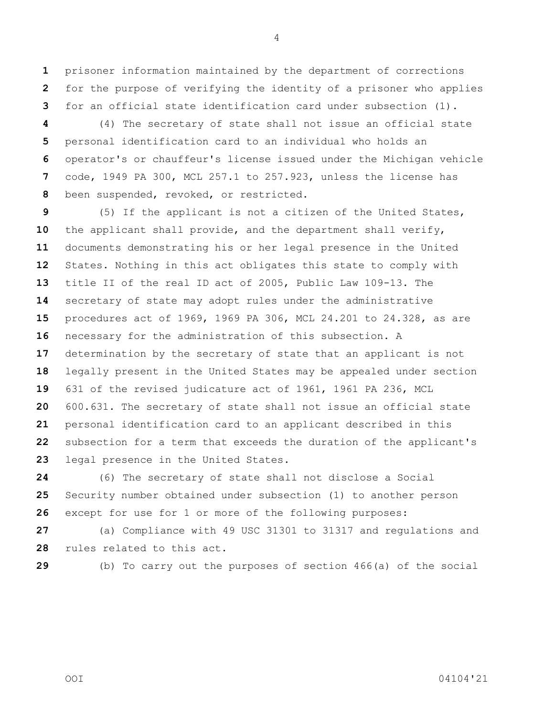prisoner information maintained by the department of corrections for the purpose of verifying the identity of a prisoner who applies for an official state identification card under subsection (1).

 (4) The secretary of state shall not issue an official state personal identification card to an individual who holds an operator's or chauffeur's license issued under the Michigan vehicle code, 1949 PA 300, MCL 257.1 to 257.923, unless the license has been suspended, revoked, or restricted.

 (5) If the applicant is not a citizen of the United States, the applicant shall provide, and the department shall verify, documents demonstrating his or her legal presence in the United States. Nothing in this act obligates this state to comply with title II of the real ID act of 2005, Public Law 109-13. The secretary of state may adopt rules under the administrative procedures act of 1969, 1969 PA 306, MCL 24.201 to 24.328, as are necessary for the administration of this subsection. A determination by the secretary of state that an applicant is not legally present in the United States may be appealed under section 631 of the revised judicature act of 1961, 1961 PA 236, MCL 600.631. The secretary of state shall not issue an official state personal identification card to an applicant described in this subsection for a term that exceeds the duration of the applicant's legal presence in the United States.

 (6) The secretary of state shall not disclose a Social Security number obtained under subsection (1) to another person except for use for 1 or more of the following purposes:

 (a) Compliance with 49 USC 31301 to 31317 and regulations and rules related to this act.

(b) To carry out the purposes of section 466(a) of the social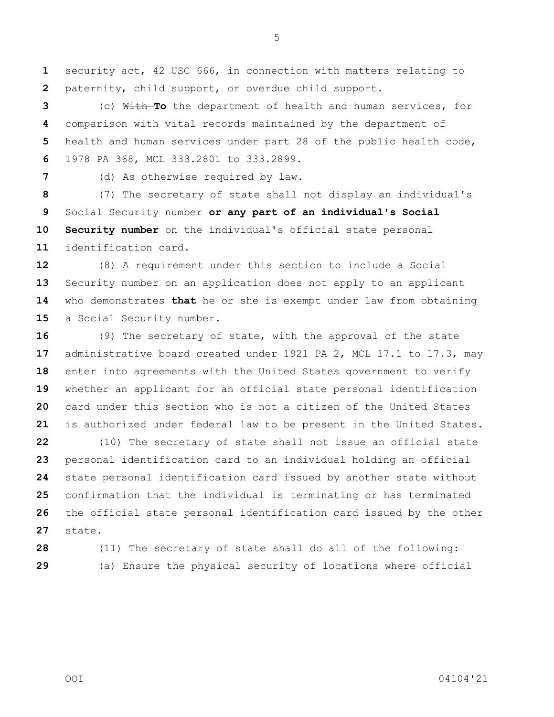security act, 42 USC 666, in connection with matters relating to paternity, child support, or overdue child support.

 (c) With **To** the department of health and human services, for comparison with vital records maintained by the department of health and human services under part 28 of the public health code, 1978 PA 368, MCL 333.2801 to 333.2899.

(d) As otherwise required by law.

 (7) The secretary of state shall not display an individual's Social Security number **or any part of an individual's Social Security number** on the individual's official state personal identification card.

 (8) A requirement under this section to include a Social Security number on an application does not apply to an applicant who demonstrates **that** he or she is exempt under law from obtaining 15 a Social Security number.

 (9) The secretary of state, with the approval of the state administrative board created under 1921 PA 2, MCL 17.1 to 17.3, may enter into agreements with the United States government to verify whether an applicant for an official state personal identification card under this section who is not a citizen of the United States is authorized under federal law to be present in the United States.

 (10) The secretary of state shall not issue an official state personal identification card to an individual holding an official state personal identification card issued by another state without confirmation that the individual is terminating or has terminated the official state personal identification card issued by the other state.

 (11) The secretary of state shall do all of the following: (a) Ensure the physical security of locations where official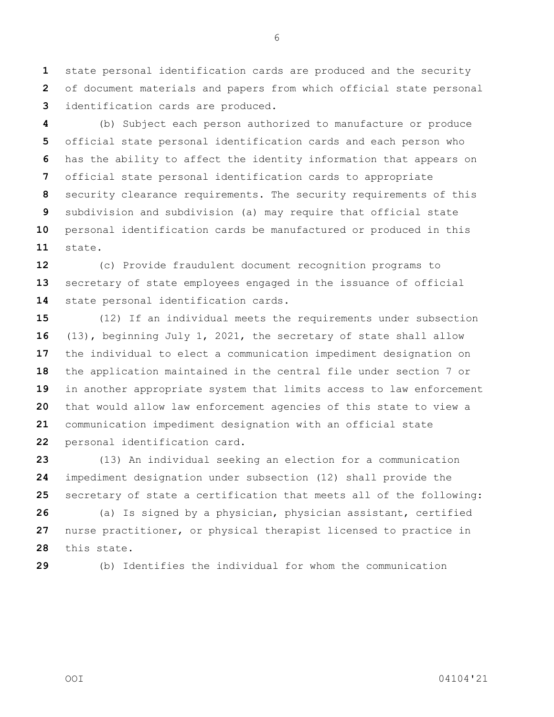state personal identification cards are produced and the security of document materials and papers from which official state personal identification cards are produced.

 (b) Subject each person authorized to manufacture or produce official state personal identification cards and each person who has the ability to affect the identity information that appears on official state personal identification cards to appropriate security clearance requirements. The security requirements of this subdivision and subdivision (a) may require that official state personal identification cards be manufactured or produced in this state.

 (c) Provide fraudulent document recognition programs to secretary of state employees engaged in the issuance of official state personal identification cards.

 (12) If an individual meets the requirements under subsection (13), beginning July 1, 2021, the secretary of state shall allow the individual to elect a communication impediment designation on the application maintained in the central file under section 7 or in another appropriate system that limits access to law enforcement that would allow law enforcement agencies of this state to view a communication impediment designation with an official state personal identification card.

 (13) An individual seeking an election for a communication impediment designation under subsection (12) shall provide the secretary of state a certification that meets all of the following:

 (a) Is signed by a physician, physician assistant, certified nurse practitioner, or physical therapist licensed to practice in this state.

(b) Identifies the individual for whom the communication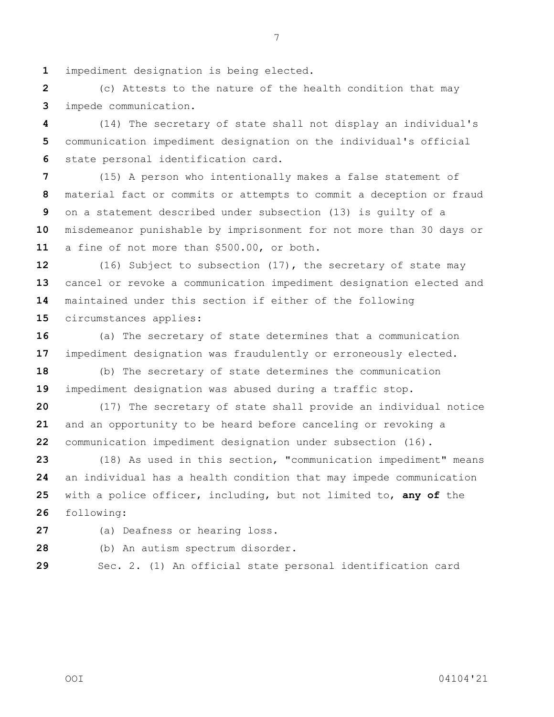impediment designation is being elected.

 (c) Attests to the nature of the health condition that may impede communication.

 (14) The secretary of state shall not display an individual's communication impediment designation on the individual's official state personal identification card.

 (15) A person who intentionally makes a false statement of material fact or commits or attempts to commit a deception or fraud on a statement described under subsection (13) is guilty of a misdemeanor punishable by imprisonment for not more than 30 days or a fine of not more than \$500.00, or both.

 (16) Subject to subsection (17), the secretary of state may cancel or revoke a communication impediment designation elected and maintained under this section if either of the following circumstances applies:

 (a) The secretary of state determines that a communication impediment designation was fraudulently or erroneously elected.

 (b) The secretary of state determines the communication impediment designation was abused during a traffic stop.

 (17) The secretary of state shall provide an individual notice and an opportunity to be heard before canceling or revoking a communication impediment designation under subsection (16).

 (18) As used in this section, "communication impediment" means an individual has a health condition that may impede communication with a police officer, including, but not limited to, **any of** the following:

(a) Deafness or hearing loss.

(b) An autism spectrum disorder.

Sec. 2. (1) An official state personal identification card

OOI 04104'21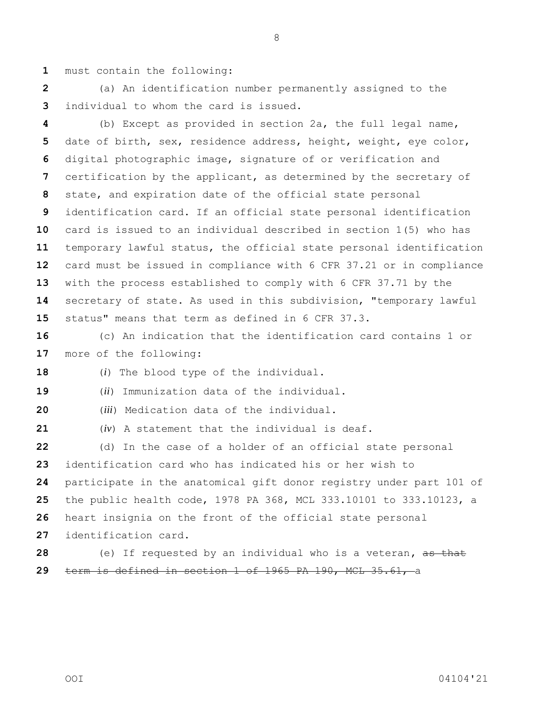must contain the following:

 (a) An identification number permanently assigned to the individual to whom the card is issued.

 (b) Except as provided in section 2a, the full legal name, date of birth, sex, residence address, height, weight, eye color, digital photographic image, signature of or verification and certification by the applicant, as determined by the secretary of state, and expiration date of the official state personal identification card. If an official state personal identification card is issued to an individual described in section 1(5) who has temporary lawful status, the official state personal identification card must be issued in compliance with 6 CFR 37.21 or in compliance with the process established to comply with 6 CFR 37.71 by the secretary of state. As used in this subdivision, "temporary lawful status" means that term as defined in 6 CFR 37.3.

 (c) An indication that the identification card contains 1 or more of the following:

(*i*) The blood type of the individual.

(*ii*) Immunization data of the individual.

(*iii*) Medication data of the individual.

(*iv*) A statement that the individual is deaf.

 (d) In the case of a holder of an official state personal identification card who has indicated his or her wish to participate in the anatomical gift donor registry under part 101 of the public health code, 1978 PA 368, MCL 333.10101 to 333.10123, a heart insignia on the front of the official state personal identification card. (e) If requested by an individual who is a veteran**,** as that

term is defined in section 1 of 1965 PA 190, MCL 35.61, a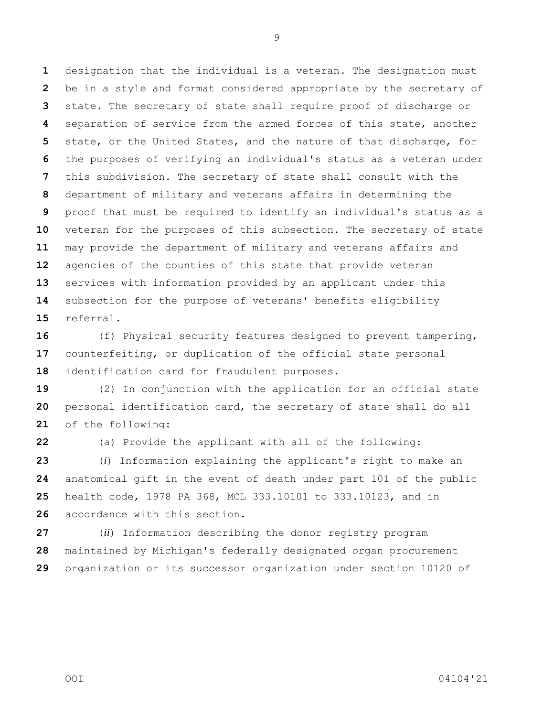designation that the individual is a veteran. The designation must be in a style and format considered appropriate by the secretary of state. The secretary of state shall require proof of discharge or separation of service from the armed forces of this state, another state, or the United States, and the nature of that discharge, for the purposes of verifying an individual's status as a veteran under this subdivision. The secretary of state shall consult with the department of military and veterans affairs in determining the proof that must be required to identify an individual's status as a veteran for the purposes of this subsection. The secretary of state may provide the department of military and veterans affairs and agencies of the counties of this state that provide veteran services with information provided by an applicant under this subsection for the purpose of veterans' benefits eligibility referral.

 (f) Physical security features designed to prevent tampering, counterfeiting, or duplication of the official state personal identification card for fraudulent purposes.

 (2) In conjunction with the application for an official state personal identification card, the secretary of state shall do all of the following:

(a) Provide the applicant with all of the following:

 (*i*) Information explaining the applicant's right to make an anatomical gift in the event of death under part 101 of the public health code, 1978 PA 368, MCL 333.10101 to 333.10123, and in accordance with this section.

 (*ii*) Information describing the donor registry program maintained by Michigan's federally designated organ procurement organization or its successor organization under section 10120 of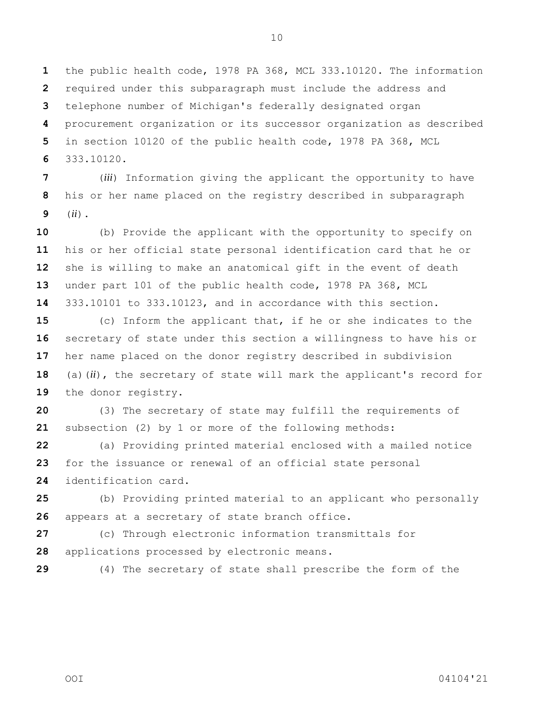the public health code, 1978 PA 368, MCL 333.10120. The information required under this subparagraph must include the address and telephone number of Michigan's federally designated organ procurement organization or its successor organization as described in section 10120 of the public health code, 1978 PA 368, MCL 333.10120.

 (*iii*) Information giving the applicant the opportunity to have his or her name placed on the registry described in subparagraph (*ii*).

 (b) Provide the applicant with the opportunity to specify on his or her official state personal identification card that he or she is willing to make an anatomical gift in the event of death under part 101 of the public health code, 1978 PA 368, MCL 333.10101 to 333.10123, and in accordance with this section.

 (c) Inform the applicant that, if he or she indicates to the secretary of state under this section a willingness to have his or her name placed on the donor registry described in subdivision (a)(*ii*), the secretary of state will mark the applicant's record for 19 the donor registry.

 (3) The secretary of state may fulfill the requirements of subsection (2) by 1 or more of the following methods:

 (a) Providing printed material enclosed with a mailed notice for the issuance or renewal of an official state personal identification card.

 (b) Providing printed material to an applicant who personally appears at a secretary of state branch office.

 (c) Through electronic information transmittals for applications processed by electronic means.

(4) The secretary of state shall prescribe the form of the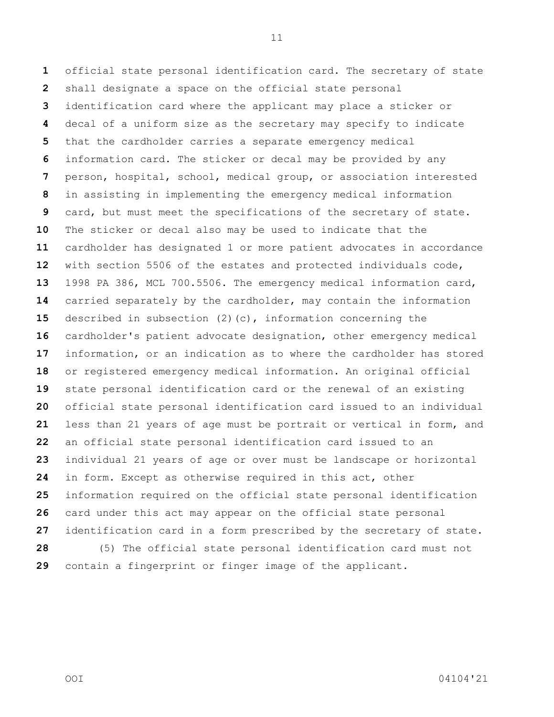official state personal identification card. The secretary of state shall designate a space on the official state personal identification card where the applicant may place a sticker or decal of a uniform size as the secretary may specify to indicate that the cardholder carries a separate emergency medical information card. The sticker or decal may be provided by any person, hospital, school, medical group, or association interested in assisting in implementing the emergency medical information card, but must meet the specifications of the secretary of state. The sticker or decal also may be used to indicate that the cardholder has designated 1 or more patient advocates in accordance with section 5506 of the estates and protected individuals code, 1998 PA 386, MCL 700.5506. The emergency medical information card, carried separately by the cardholder, may contain the information described in subsection (2)(c), information concerning the cardholder's patient advocate designation, other emergency medical information, or an indication as to where the cardholder has stored or registered emergency medical information. An original official state personal identification card or the renewal of an existing official state personal identification card issued to an individual less than 21 years of age must be portrait or vertical in form, and an official state personal identification card issued to an individual 21 years of age or over must be landscape or horizontal in form. Except as otherwise required in this act, other information required on the official state personal identification card under this act may appear on the official state personal identification card in a form prescribed by the secretary of state. (5) The official state personal identification card must not contain a fingerprint or finger image of the applicant.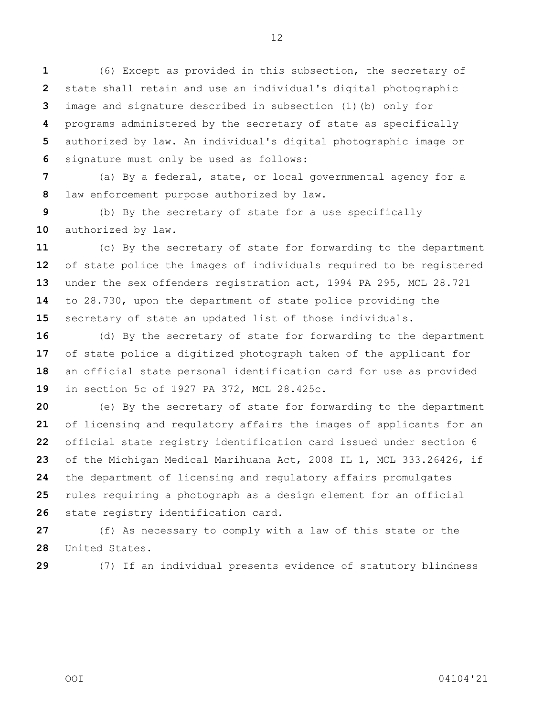(6) Except as provided in this subsection, the secretary of state shall retain and use an individual's digital photographic image and signature described in subsection (1)(b) only for programs administered by the secretary of state as specifically authorized by law. An individual's digital photographic image or signature must only be used as follows:

 (a) By a federal, state, or local governmental agency for a law enforcement purpose authorized by law.

 (b) By the secretary of state for a use specifically 10 authorized by law.

 (c) By the secretary of state for forwarding to the department of state police the images of individuals required to be registered under the sex offenders registration act, 1994 PA 295, MCL 28.721 to 28.730, upon the department of state police providing the secretary of state an updated list of those individuals.

 (d) By the secretary of state for forwarding to the department of state police a digitized photograph taken of the applicant for an official state personal identification card for use as provided in section 5c of 1927 PA 372, MCL 28.425c.

 (e) By the secretary of state for forwarding to the department of licensing and regulatory affairs the images of applicants for an official state registry identification card issued under section 6 of the Michigan Medical Marihuana Act, 2008 IL 1, MCL 333.26426, if the department of licensing and regulatory affairs promulgates rules requiring a photograph as a design element for an official state registry identification card.

 (f) As necessary to comply with a law of this state or the United States.

(7) If an individual presents evidence of statutory blindness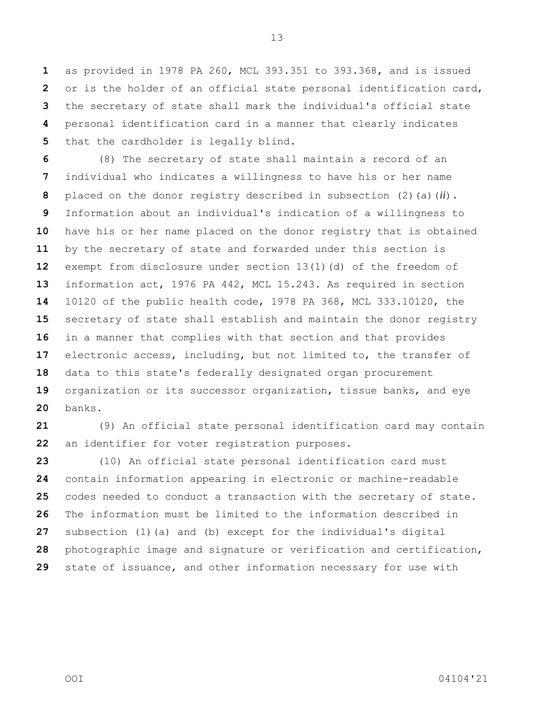as provided in 1978 PA 260, MCL 393.351 to 393.368, and is issued or is the holder of an official state personal identification card, the secretary of state shall mark the individual's official state personal identification card in a manner that clearly indicates that the cardholder is legally blind.

 (8) The secretary of state shall maintain a record of an individual who indicates a willingness to have his or her name placed on the donor registry described in subsection (2)(a)(*ii*). Information about an individual's indication of a willingness to have his or her name placed on the donor registry that is obtained by the secretary of state and forwarded under this section is exempt from disclosure under section 13(1)(d) of the freedom of information act, 1976 PA 442, MCL 15.243. As required in section 10120 of the public health code, 1978 PA 368, MCL 333.10120, the secretary of state shall establish and maintain the donor registry in a manner that complies with that section and that provides electronic access, including, but not limited to, the transfer of data to this state's federally designated organ procurement organization or its successor organization, tissue banks, and eye banks.

 (9) An official state personal identification card may contain an identifier for voter registration purposes.

 (10) An official state personal identification card must contain information appearing in electronic or machine-readable codes needed to conduct a transaction with the secretary of state. The information must be limited to the information described in subsection (1)(a) and (b) except for the individual's digital photographic image and signature or verification and certification, state of issuance, and other information necessary for use with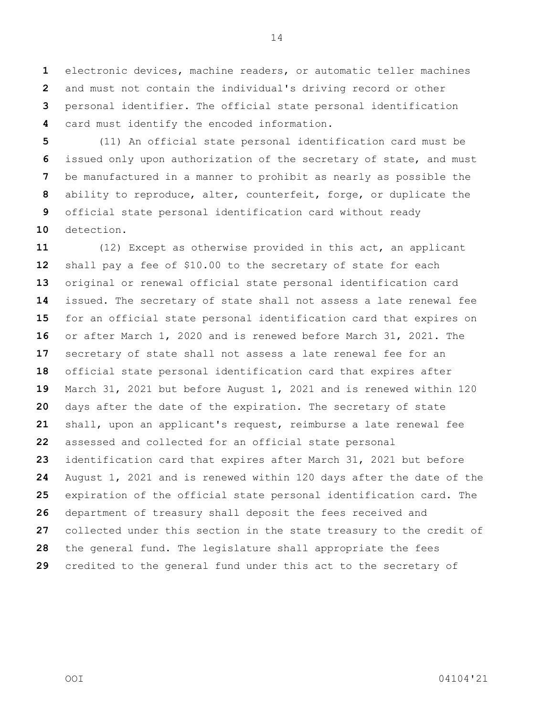electronic devices, machine readers, or automatic teller machines and must not contain the individual's driving record or other personal identifier. The official state personal identification card must identify the encoded information.

 (11) An official state personal identification card must be issued only upon authorization of the secretary of state, and must be manufactured in a manner to prohibit as nearly as possible the ability to reproduce, alter, counterfeit, forge, or duplicate the official state personal identification card without ready detection.

 (12) Except as otherwise provided in this act, an applicant shall pay a fee of \$10.00 to the secretary of state for each original or renewal official state personal identification card issued. The secretary of state shall not assess a late renewal fee for an official state personal identification card that expires on or after March 1, 2020 and is renewed before March 31, 2021. The secretary of state shall not assess a late renewal fee for an official state personal identification card that expires after March 31, 2021 but before August 1, 2021 and is renewed within 120 days after the date of the expiration. The secretary of state shall, upon an applicant's request, reimburse a late renewal fee assessed and collected for an official state personal identification card that expires after March 31, 2021 but before August 1, 2021 and is renewed within 120 days after the date of the expiration of the official state personal identification card. The department of treasury shall deposit the fees received and collected under this section in the state treasury to the credit of the general fund. The legislature shall appropriate the fees credited to the general fund under this act to the secretary of

OOI 04104'21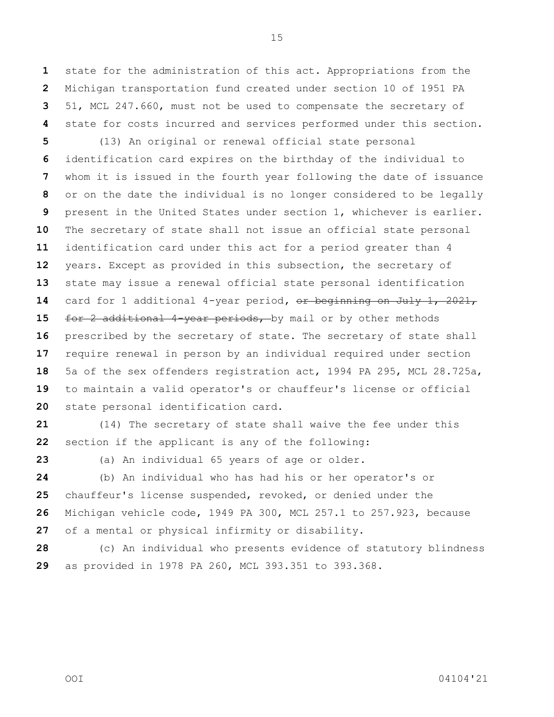state for the administration of this act. Appropriations from the Michigan transportation fund created under section 10 of 1951 PA 51, MCL 247.660, must not be used to compensate the secretary of state for costs incurred and services performed under this section.

 (13) An original or renewal official state personal identification card expires on the birthday of the individual to whom it is issued in the fourth year following the date of issuance or on the date the individual is no longer considered to be legally present in the United States under section 1, whichever is earlier. The secretary of state shall not issue an official state personal identification card under this act for a period greater than 4 years. Except as provided in this subsection, the secretary of state may issue a renewal official state personal identification card for 1 additional 4-year period**,** or beginning on July 1, 2021, 15 for 2 additional 4-year periods, by mail or by other methods prescribed by the secretary of state. The secretary of state shall require renewal in person by an individual required under section 5a of the sex offenders registration act, 1994 PA 295, MCL 28.725a, to maintain a valid operator's or chauffeur's license or official state personal identification card.

 (14) The secretary of state shall waive the fee under this section if the applicant is any of the following:

(a) An individual 65 years of age or older.

 (b) An individual who has had his or her operator's or chauffeur's license suspended, revoked, or denied under the Michigan vehicle code, 1949 PA 300, MCL 257.1 to 257.923, because of a mental or physical infirmity or disability.

 (c) An individual who presents evidence of statutory blindness as provided in 1978 PA 260, MCL 393.351 to 393.368.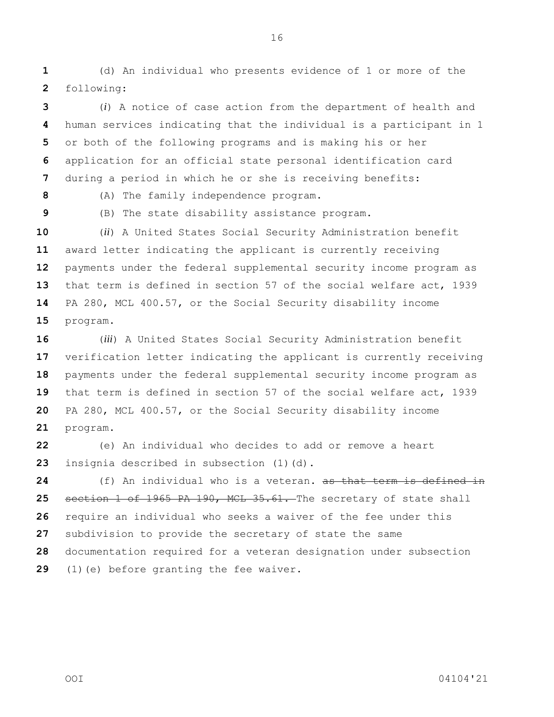(d) An individual who presents evidence of 1 or more of the following:

 (*i*) A notice of case action from the department of health and human services indicating that the individual is a participant in 1 or both of the following programs and is making his or her application for an official state personal identification card during a period in which he or she is receiving benefits:

(A) The family independence program.

(B) The state disability assistance program.

 (*ii*) A United States Social Security Administration benefit award letter indicating the applicant is currently receiving payments under the federal supplemental security income program as that term is defined in section 57 of the social welfare act, 1939 PA 280, MCL 400.57, or the Social Security disability income program.

 (*iii*) A United States Social Security Administration benefit verification letter indicating the applicant is currently receiving payments under the federal supplemental security income program as that term is defined in section 57 of the social welfare act, 1939 PA 280, MCL 400.57, or the Social Security disability income program.

 (e) An individual who decides to add or remove a heart insignia described in subsection (1)(d).

 (f) An individual who is a veteran**.** as that term is defined in section 1 of 1965 PA 190, MCL 35.61. The secretary of state shall require an individual who seeks a waiver of the fee under this subdivision to provide the secretary of state the same documentation required for a veteran designation under subsection (1)(e) before granting the fee waiver.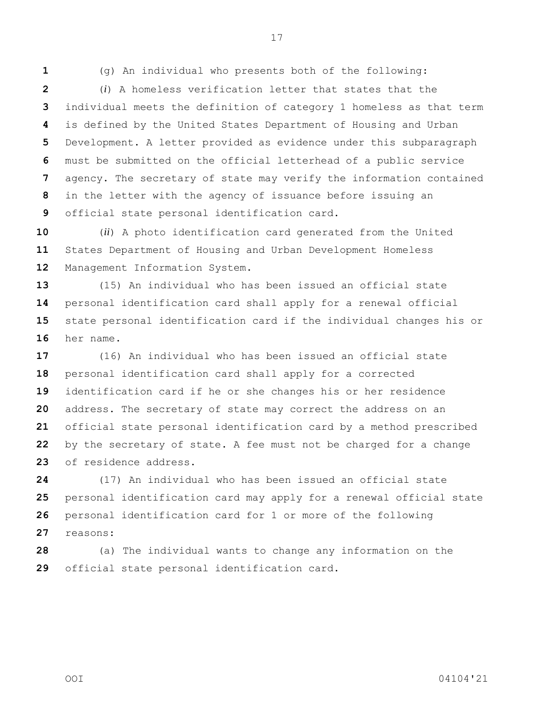(g) An individual who presents both of the following:

 (*i*) A homeless verification letter that states that the individual meets the definition of category 1 homeless as that term is defined by the United States Department of Housing and Urban Development. A letter provided as evidence under this subparagraph must be submitted on the official letterhead of a public service agency. The secretary of state may verify the information contained in the letter with the agency of issuance before issuing an official state personal identification card.

 (*ii*) A photo identification card generated from the United States Department of Housing and Urban Development Homeless Management Information System.

 (15) An individual who has been issued an official state personal identification card shall apply for a renewal official state personal identification card if the individual changes his or her name.

 (16) An individual who has been issued an official state personal identification card shall apply for a corrected identification card if he or she changes his or her residence address. The secretary of state may correct the address on an official state personal identification card by a method prescribed by the secretary of state. A fee must not be charged for a change of residence address.

 (17) An individual who has been issued an official state personal identification card may apply for a renewal official state personal identification card for 1 or more of the following reasons:

 (a) The individual wants to change any information on the official state personal identification card.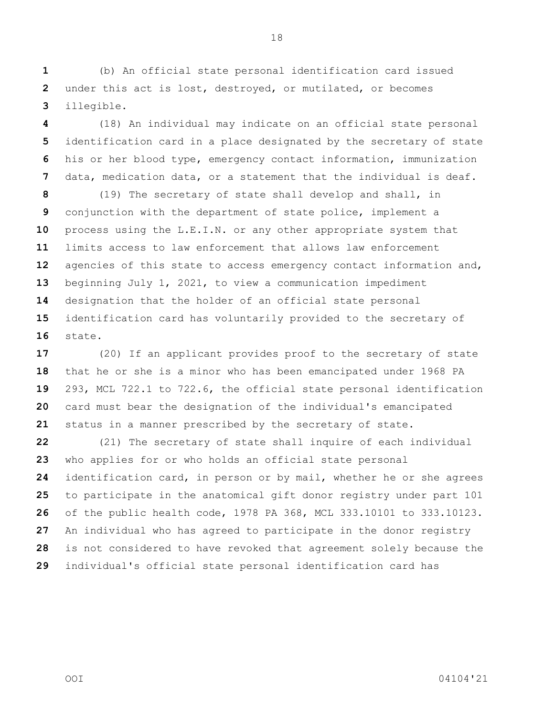(b) An official state personal identification card issued under this act is lost, destroyed, or mutilated, or becomes illegible.

 (18) An individual may indicate on an official state personal identification card in a place designated by the secretary of state his or her blood type, emergency contact information, immunization data, medication data, or a statement that the individual is deaf.

 (19) The secretary of state shall develop and shall, in conjunction with the department of state police, implement a process using the L.E.I.N. or any other appropriate system that limits access to law enforcement that allows law enforcement agencies of this state to access emergency contact information and, beginning July 1, 2021, to view a communication impediment designation that the holder of an official state personal identification card has voluntarily provided to the secretary of state.

 (20) If an applicant provides proof to the secretary of state that he or she is a minor who has been emancipated under 1968 PA 293, MCL 722.1 to 722.6, the official state personal identification card must bear the designation of the individual's emancipated status in a manner prescribed by the secretary of state.

 (21) The secretary of state shall inquire of each individual who applies for or who holds an official state personal identification card, in person or by mail, whether he or she agrees to participate in the anatomical gift donor registry under part 101 of the public health code, 1978 PA 368, MCL 333.10101 to 333.10123. An individual who has agreed to participate in the donor registry is not considered to have revoked that agreement solely because the individual's official state personal identification card has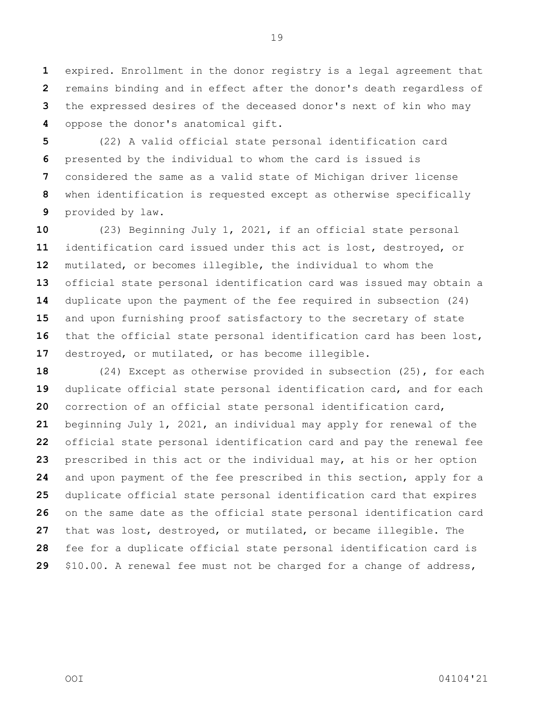expired. Enrollment in the donor registry is a legal agreement that remains binding and in effect after the donor's death regardless of the expressed desires of the deceased donor's next of kin who may oppose the donor's anatomical gift.

 (22) A valid official state personal identification card presented by the individual to whom the card is issued is considered the same as a valid state of Michigan driver license when identification is requested except as otherwise specifically provided by law.

 (23) Beginning July 1, 2021, if an official state personal identification card issued under this act is lost, destroyed, or mutilated, or becomes illegible, the individual to whom the official state personal identification card was issued may obtain a duplicate upon the payment of the fee required in subsection (24) and upon furnishing proof satisfactory to the secretary of state that the official state personal identification card has been lost, destroyed, or mutilated, or has become illegible.

 (24) Except as otherwise provided in subsection (25), for each duplicate official state personal identification card, and for each correction of an official state personal identification card, beginning July 1, 2021, an individual may apply for renewal of the official state personal identification card and pay the renewal fee prescribed in this act or the individual may, at his or her option and upon payment of the fee prescribed in this section, apply for a duplicate official state personal identification card that expires on the same date as the official state personal identification card that was lost, destroyed, or mutilated, or became illegible. The fee for a duplicate official state personal identification card is \$10.00. A renewal fee must not be charged for a change of address,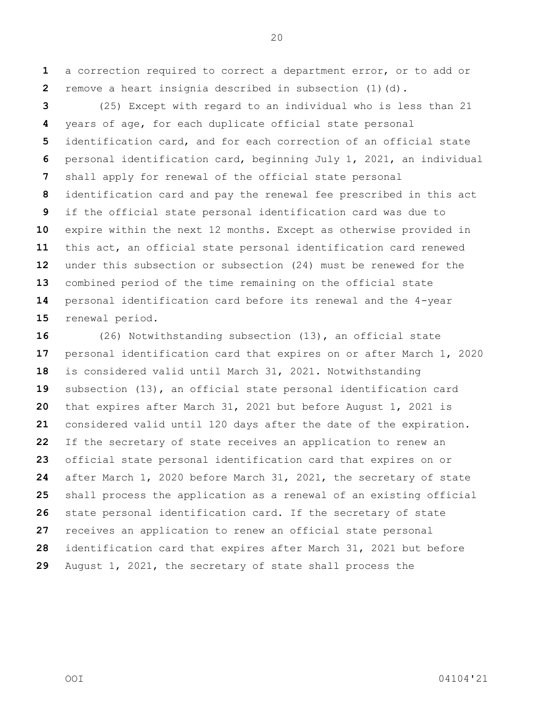a correction required to correct a department error, or to add or remove a heart insignia described in subsection (1)(d).

 (25) Except with regard to an individual who is less than 21 years of age, for each duplicate official state personal identification card, and for each correction of an official state personal identification card, beginning July 1, 2021, an individual shall apply for renewal of the official state personal identification card and pay the renewal fee prescribed in this act if the official state personal identification card was due to expire within the next 12 months. Except as otherwise provided in this act, an official state personal identification card renewed under this subsection or subsection (24) must be renewed for the combined period of the time remaining on the official state personal identification card before its renewal and the 4-year renewal period.

 (26) Notwithstanding subsection (13), an official state personal identification card that expires on or after March 1, 2020 is considered valid until March 31, 2021. Notwithstanding subsection (13), an official state personal identification card that expires after March 31, 2021 but before August 1, 2021 is considered valid until 120 days after the date of the expiration. If the secretary of state receives an application to renew an official state personal identification card that expires on or after March 1, 2020 before March 31, 2021, the secretary of state shall process the application as a renewal of an existing official state personal identification card. If the secretary of state receives an application to renew an official state personal identification card that expires after March 31, 2021 but before August 1, 2021, the secretary of state shall process the